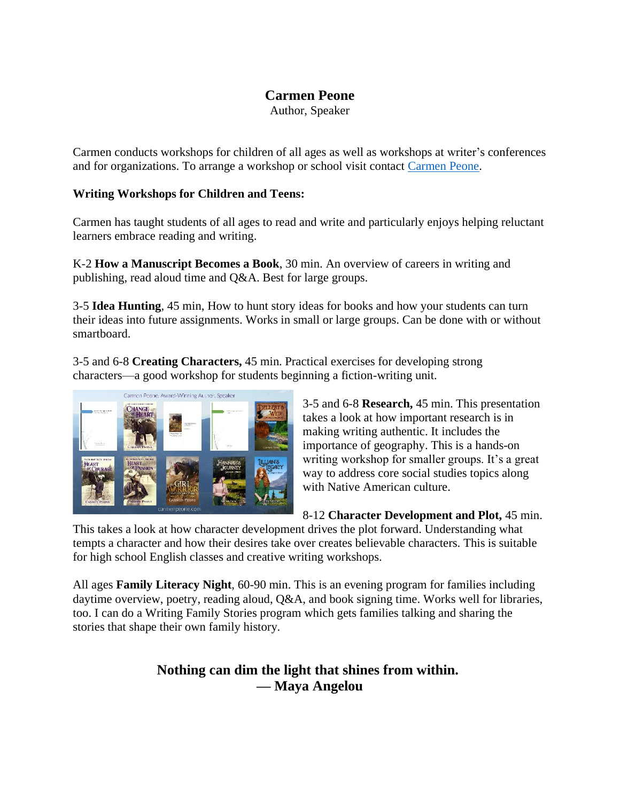# **Carmen Peone**

Author, Speaker

Carmen conducts workshops for children of all ages as well as workshops at writer's conferences and for organizations. To arrange a workshop or school visit contact [Carmen](https://carmenpeone.com/contact/) Peone.

## **Writing Workshops for Children and Teens:**

Carmen has taught students of all ages to read and write and particularly enjoys helping reluctant learners embrace reading and writing.

K-2 **How a Manuscript Becomes a Book**, 30 min. An overview of careers in writing and publishing, read aloud time and Q&A. Best for large groups.

3-5 **Idea Hunting**, 45 min, How to hunt story ideas for books and how your students can turn their ideas into future assignments. Works in small or large groups. Can be done with or without smartboard.

3-5 and 6-8 **Creating Characters,** 45 min. Practical exercises for developing strong characters—a good workshop for students beginning a fiction-writing unit.



3-5 and 6-8 **Research,** 45 min. This presentation takes a look at how important research is in making writing authentic. It includes the importance of geography. This is a hands-on writing workshop for smaller groups. It's a great way to address core social studies topics along with Native American culture.

8-12 **Character Development and Plot,** 45 min.

This takes a look at how character development drives the plot forward. Understanding what tempts a character and how their desires take over creates believable characters. This is suitable for high school English classes and creative writing workshops.

All ages **Family Literacy Night**, 60-90 min. This is an evening program for families including daytime overview, poetry, reading aloud,  $Q&A$ , and book signing time. Works well for libraries, too. I can do a Writing Family Stories program which gets families talking and sharing the stories that shape their own family history.

# **Nothing can dim the light that shines from within. — [Maya Angelou](https://www.businessinsider.in/13-of-Maya-Angelous-greatest-quotes-on-life-success-and-change/articleshow/63616167.cms)**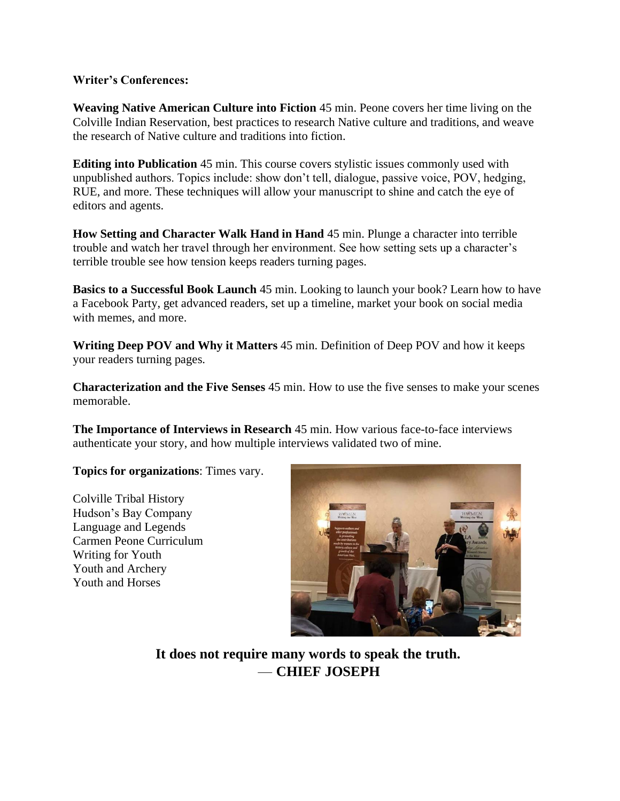#### **Writer's Conferences:**

**Weaving Native American Culture into Fiction** 45 min. Peone covers her time living on the Colville Indian Reservation, best practices to research Native culture and traditions, and weave the research of Native culture and traditions into fiction.

**Editing into Publication** 45 min. This course covers stylistic issues commonly used with unpublished authors. Topics include: show don't tell, dialogue, passive voice, POV, hedging, RUE, and more. These techniques will allow your manuscript to shine and catch the eye of editors and agents.

**How Setting and Character Walk Hand in Hand** 45 min. Plunge a character into terrible trouble and watch her travel through her environment. See how setting sets up a character's terrible trouble see how tension keeps readers turning pages.

**Basics to a Successful Book Launch** 45 min. Looking to launch your book? Learn how to have a Facebook Party, get advanced readers, set up a timeline, market your book on social media with memes, and more.

**Writing Deep POV and Why it Matters** 45 min. Definition of Deep POV and how it keeps your readers turning pages.

**Characterization and the Five Senses** 45 min. How to use the five senses to make your scenes memorable.

**The Importance of Interviews in Research** 45 min. How various face-to-face interviews authenticate your story, and how multiple interviews validated two of mine.

**Topics for organizations**: Times vary.

Colville Tribal History Hudson's Bay Company Language and Legends Carmen Peone Curriculum Writing for Youth Youth and Archery Youth and Horses



**It does not require many words to speak the truth.** — **CHIEF JOSEPH**